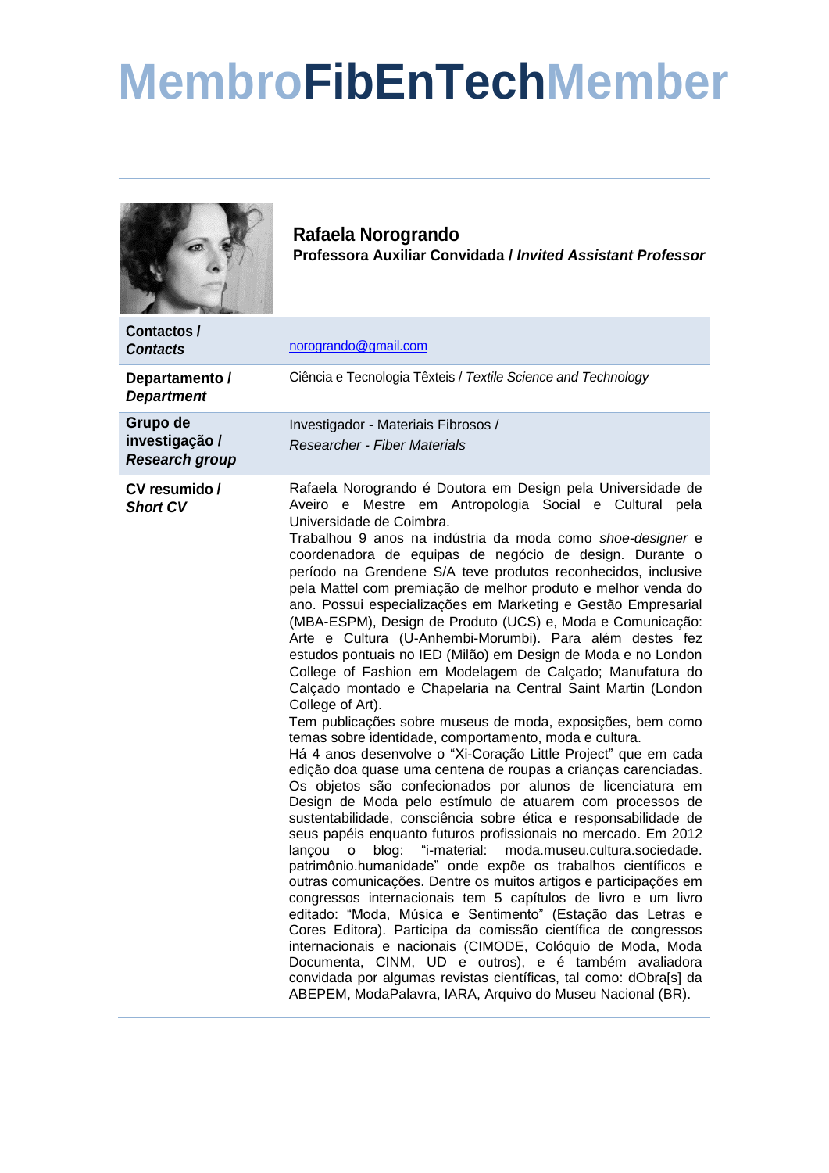## **MembroFibEnTechMember**



**Rafaela Norogrando Professora Auxiliar Convidada /** *Invited Assistant Professor*

| Contactos /<br><b>Contacts</b>                      | norogrando@gmail.com                                                                                                                                                                                                                                                                                                                                                                                                                                                                                                                                                                                                                                                                                                                                                                                                                                                                                                                                                                                                                                                                                                                                                                                                                                                                                                                                                                                                                                                                                                                                                                                                                                                                                                                                                                                                                                                                                                                                                                                                        |
|-----------------------------------------------------|-----------------------------------------------------------------------------------------------------------------------------------------------------------------------------------------------------------------------------------------------------------------------------------------------------------------------------------------------------------------------------------------------------------------------------------------------------------------------------------------------------------------------------------------------------------------------------------------------------------------------------------------------------------------------------------------------------------------------------------------------------------------------------------------------------------------------------------------------------------------------------------------------------------------------------------------------------------------------------------------------------------------------------------------------------------------------------------------------------------------------------------------------------------------------------------------------------------------------------------------------------------------------------------------------------------------------------------------------------------------------------------------------------------------------------------------------------------------------------------------------------------------------------------------------------------------------------------------------------------------------------------------------------------------------------------------------------------------------------------------------------------------------------------------------------------------------------------------------------------------------------------------------------------------------------------------------------------------------------------------------------------------------------|
| Departamento /<br><b>Department</b>                 | Ciência e Tecnologia Têxteis / Textile Science and Technology                                                                                                                                                                                                                                                                                                                                                                                                                                                                                                                                                                                                                                                                                                                                                                                                                                                                                                                                                                                                                                                                                                                                                                                                                                                                                                                                                                                                                                                                                                                                                                                                                                                                                                                                                                                                                                                                                                                                                               |
| Grupo de<br>investigação /<br><b>Research group</b> | Investigador - Materiais Fibrosos /<br>Researcher - Fiber Materials                                                                                                                                                                                                                                                                                                                                                                                                                                                                                                                                                                                                                                                                                                                                                                                                                                                                                                                                                                                                                                                                                                                                                                                                                                                                                                                                                                                                                                                                                                                                                                                                                                                                                                                                                                                                                                                                                                                                                         |
| CV resumido /<br><b>Short CV</b>                    | Rafaela Norogrando é Doutora em Design pela Universidade de<br>Aveiro e Mestre em Antropologia Social e Cultural pela<br>Universidade de Coimbra.<br>Trabalhou 9 anos na indústria da moda como shoe-designer e<br>coordenadora de equipas de negócio de design. Durante o<br>período na Grendene S/A teve produtos reconhecidos, inclusive<br>pela Mattel com premiação de melhor produto e melhor venda do<br>ano. Possui especializações em Marketing e Gestão Empresarial<br>(MBA-ESPM), Design de Produto (UCS) e, Moda e Comunicação:<br>Arte e Cultura (U-Anhembi-Morumbi). Para além destes fez<br>estudos pontuais no IED (Milão) em Design de Moda e no London<br>College of Fashion em Modelagem de Calçado; Manufatura do<br>Calçado montado e Chapelaria na Central Saint Martin (London<br>College of Art).<br>Tem publicações sobre museus de moda, exposições, bem como<br>temas sobre identidade, comportamento, moda e cultura.<br>Há 4 anos desenvolve o "Xi-Coração Little Project" que em cada<br>edição doa quase uma centena de roupas a crianças carenciadas.<br>Os objetos são confecionados por alunos de licenciatura em<br>Design de Moda pelo estímulo de atuarem com processos de<br>sustentabilidade, consciência sobre ética e responsabilidade de<br>seus papéis enquanto futuros profissionais no mercado. Em 2012<br>moda.museu.cultura.sociedade.<br>blog:<br>"i-material:<br>lancou<br>o<br>patrimônio.humanidade" onde expõe os trabalhos científicos e<br>outras comunicações. Dentre os muitos artigos e participações em<br>congressos internacionais tem 5 capítulos de livro e um livro<br>editado: "Moda, Música e Sentimento" (Estação das Letras e<br>Cores Editora). Participa da comissão científica de congressos<br>internacionais e nacionais (CIMODE, Colóquio de Moda, Moda<br>Documenta, CINM, UD e outros), e é também avaliadora<br>convidada por algumas revistas científicas, tal como: dObra[s] da<br>ABEPEM, ModaPalavra, IARA, Arquivo do Museu Nacional (BR). |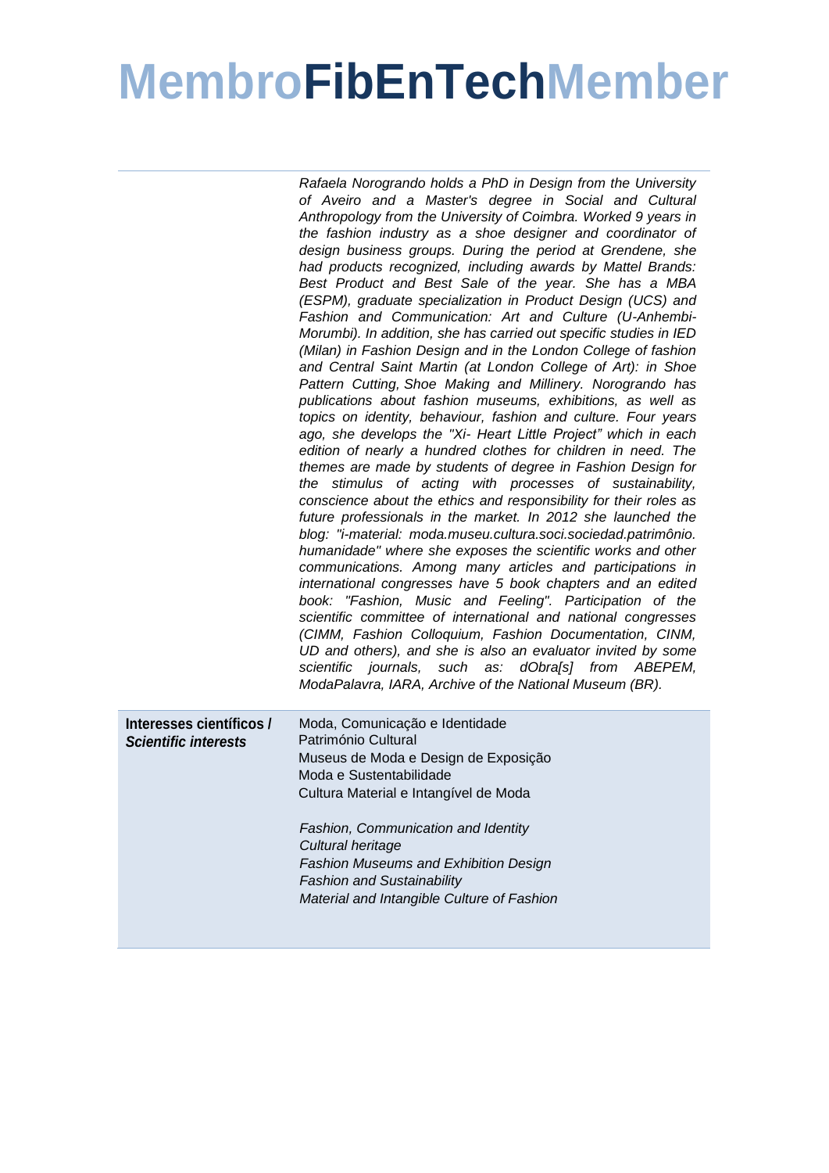## **MembroFibEnTechMember**

|                                                         | Rafaela Norogrando holds a PhD in Design from the University<br>of Aveiro and a Master's degree in Social and Cultural<br>Anthropology from the University of Coimbra. Worked 9 years in<br>the fashion industry as a shoe designer and coordinator of<br>design business groups. During the period at Grendene, she<br>had products recognized, including awards by Mattel Brands:<br>Best Product and Best Sale of the year. She has a MBA<br>(ESPM), graduate specialization in Product Design (UCS) and<br>Fashion and Communication: Art and Culture (U-Anhembi-<br>Morumbi). In addition, she has carried out specific studies in IED<br>(Milan) in Fashion Design and in the London College of fashion<br>and Central Saint Martin (at London College of Art): in Shoe<br>Pattern Cutting, Shoe Making and Millinery. Norogrando has<br>publications about fashion museums, exhibitions, as well as<br>topics on identity, behaviour, fashion and culture. Four years<br>ago, she develops the "Xi- Heart Little Project" which in each<br>edition of nearly a hundred clothes for children in need. The<br>themes are made by students of degree in Fashion Design for<br>the stimulus of acting with processes of sustainability,<br>conscience about the ethics and responsibility for their roles as<br>future professionals in the market. In 2012 she launched the<br>blog: "i-material: moda.museu.cultura.soci.sociedad.patrimônio.<br>humanidade" where she exposes the scientific works and other<br>communications. Among many articles and participations in<br>international congresses have 5 book chapters and an edited<br>book: "Fashion, Music and Feeling". Participation of the<br>scientific committee of international and national congresses<br>(CIMM, Fashion Colloquium, Fashion Documentation, CINM,<br>UD and others), and she is also an evaluator invited by some<br>scientific journals, such as: dObra[s] from<br>ABEPEM,<br>ModaPalavra, IARA, Archive of the National Museum (BR). |
|---------------------------------------------------------|-----------------------------------------------------------------------------------------------------------------------------------------------------------------------------------------------------------------------------------------------------------------------------------------------------------------------------------------------------------------------------------------------------------------------------------------------------------------------------------------------------------------------------------------------------------------------------------------------------------------------------------------------------------------------------------------------------------------------------------------------------------------------------------------------------------------------------------------------------------------------------------------------------------------------------------------------------------------------------------------------------------------------------------------------------------------------------------------------------------------------------------------------------------------------------------------------------------------------------------------------------------------------------------------------------------------------------------------------------------------------------------------------------------------------------------------------------------------------------------------------------------------------------------------------------------------------------------------------------------------------------------------------------------------------------------------------------------------------------------------------------------------------------------------------------------------------------------------------------------------------------------------------------------------------------------------------------------------------------------------------------------------------------|
| Interesses científicos /<br><b>Scientific interests</b> | Moda, Comunicação e Identidade<br>Património Cultural<br>Museus de Moda e Design de Exposição<br>Moda e Sustentabilidade<br>Cultura Material e Intangível de Moda<br>Fashion, Communication and Identity<br>Cultural heritage<br>Fashion Museums and Exhibition Design<br><b>Fashion and Sustainability</b><br>Material and Intangible Culture of Fashion                                                                                                                                                                                                                                                                                                                                                                                                                                                                                                                                                                                                                                                                                                                                                                                                                                                                                                                                                                                                                                                                                                                                                                                                                                                                                                                                                                                                                                                                                                                                                                                                                                                                   |